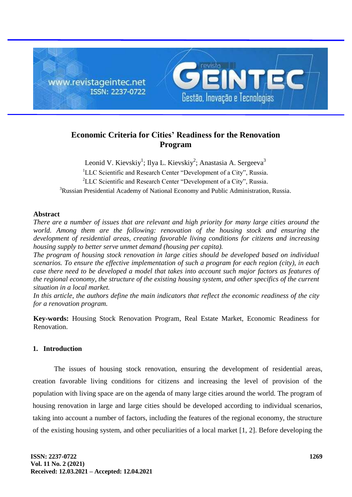

# **Economic Criteria for Cities' Readiness for the Renovation Program**

Leonid V. Kievskiy<sup>1</sup>; Ilya L. Kievskiy<sup>2</sup>; Anastasia A. Sergeeva<sup>3</sup> <sup>1</sup>LLC Scientific and Research Center "Development of a City", Russia. <sup>2</sup>LLC Scientific and Research Center "Development of a City", Russia. <sup>3</sup>Russian Presidential Academy of National Economy and Public Administration, Russia.

## **Abstract**

*There are a number of issues that are relevant and high priority for many large cities around the world. Among them are the following: renovation of the housing stock and ensuring the development of residential areas, creating favorable living conditions for citizens and increasing housing supply to better serve unmet demand (housing per capita).*

*The program of housing stock renovation in large cities should be developed based on individual scenarios. To ensure the effective implementation of such a program for each region (city), in each case there need to be developed a model that takes into account such major factors as features of the regional economy, the structure of the existing housing system, and other specifics of the current situation in a local market.*

*In this article, the authors define the main indicators that reflect the economic readiness of the city for a renovation program.*

**Key-words:** Housing Stock Renovation Program, Real Estate Market, Economic Readiness for Renovation.

## **1. Introduction**

The issues of housing stock renovation, ensuring the development of residential areas, creation favorable living conditions for citizens and increasing the level of provision of the population with living space are on the agenda of many large cities around the world. The program of housing renovation in large and large cities should be developed according to individual scenarios, taking into account a number of factors, including the features of the regional economy, the structure of the existing housing system, and other peculiarities of a local market [1, 2]. Before developing the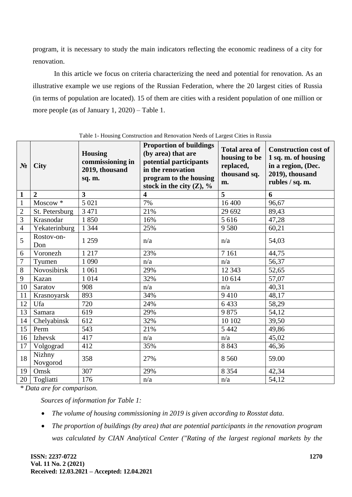program, it is necessary to study the main indicators reflecting the economic readiness of a city for renovation.

In this article we focus on criteria characterizing the need and potential for renovation. As an illustrative example we use regions of the Russian Federation, where the 20 largest cities of Russia (in terms of population are located). 15 of them are cities with a resident population of one million or more people (as of January 1, 2020) – Table 1.

| N <sub>2</sub> | <b>City</b>         | <b>Housing</b><br>commissioning in<br>2019, thousand<br>sq. m. | <b>Proportion of buildings</b><br>(by area) that are<br>potential participants<br>in the renovation<br>program to the housing<br>stock in the city $(Z)$ , % | <b>Total area of</b><br>housing to be<br>replaced,<br>thousand sq.<br>m. | <b>Construction cost of</b><br>1 sq. m. of housing<br>in a region, (Dec.<br>2019), thousand<br>rubles / sq. m. |
|----------------|---------------------|----------------------------------------------------------------|--------------------------------------------------------------------------------------------------------------------------------------------------------------|--------------------------------------------------------------------------|----------------------------------------------------------------------------------------------------------------|
| $\mathbf{1}$   | $\overline{2}$      | $\overline{3}$                                                 | $\overline{\mathbf{4}}$                                                                                                                                      | 5                                                                        | 6                                                                                                              |
| $\mathbf{1}$   | Moscow <sup>*</sup> | 5 0 2 1                                                        | 7%                                                                                                                                                           | 16 400                                                                   | 96,67                                                                                                          |
| $\overline{2}$ | St. Petersburg      | 3 4 7 1                                                        | 21%                                                                                                                                                          | 29 692                                                                   | 89,43                                                                                                          |
| 3              | Krasnodar           | 1850                                                           | 16%                                                                                                                                                          | 5 6 1 6                                                                  | 47,28                                                                                                          |
| $\overline{4}$ | Yekaterinburg       | 1 3 4 4                                                        | 25%                                                                                                                                                          | 9 5 8 0                                                                  | 60,21                                                                                                          |
| 5              | Rostov-on-<br>Don   | 1 2 5 9                                                        | n/a                                                                                                                                                          | n/a                                                                      | 54,03                                                                                                          |
| 6              | Voronezh            | 1 2 1 7                                                        | 23%                                                                                                                                                          | 7 1 6 1                                                                  | 44,75                                                                                                          |
| 7              | Tyumen              | 1 0 9 0                                                        | n/a                                                                                                                                                          | n/a                                                                      | 56,37                                                                                                          |
| 8              | Novosibirsk         | 1 0 6 1                                                        | 29%                                                                                                                                                          | 12 3 43                                                                  | 52,65                                                                                                          |
| 9              | Kazan               | 1 0 1 4                                                        | 32%                                                                                                                                                          | 10 614                                                                   | 57,07                                                                                                          |
| 10             | Saratov             | 908                                                            | n/a                                                                                                                                                          | n/a                                                                      | 40,31                                                                                                          |
| 11             | Krasnoyarsk         | 893                                                            | 34%                                                                                                                                                          | 9410                                                                     | 48,17                                                                                                          |
| 12             | Ufa                 | 720                                                            | 24%                                                                                                                                                          | 6433                                                                     | 58,29                                                                                                          |
| 13             | Samara              | 619                                                            | 29%                                                                                                                                                          | 9875                                                                     | 54,12                                                                                                          |
| 14             | Chelyabinsk         | 612                                                            | 32%                                                                                                                                                          | 10 10 2                                                                  | 39,50                                                                                                          |
| 15             | Perm                | 543                                                            | 21%                                                                                                                                                          | 5 4 4 2                                                                  | 49,86                                                                                                          |
| 16             | Izhevsk             | 417                                                            | n/a                                                                                                                                                          | n/a                                                                      | 45,02                                                                                                          |
| 17             | Volgograd           | 412                                                            | 35%                                                                                                                                                          | 8 8 4 3                                                                  | 46,36                                                                                                          |
| 18             | Nizhny<br>Novgorod  | 358                                                            | 27%                                                                                                                                                          | 8 5 6 0                                                                  | 59.00                                                                                                          |
| 19             | Omsk                | 307                                                            | 29%                                                                                                                                                          | 8 3 5 4                                                                  | 42,34                                                                                                          |
| 20             | Togliatti           | 176                                                            | n/a                                                                                                                                                          | n/a                                                                      | 54,12                                                                                                          |

Table 1- Housing Construction and Renovation Needs of Largest Cities in Russia

*\* Data are for comparison.*

*Sources of information for Table 1:*

- *The volume of housing commissioning in 2019 is given according to Rosstat data.*
- *The proportion of buildings (by area) that are potential participants in the renovation program was calculated by CIAN Analytical Center ("Rating of the largest regional markets by the*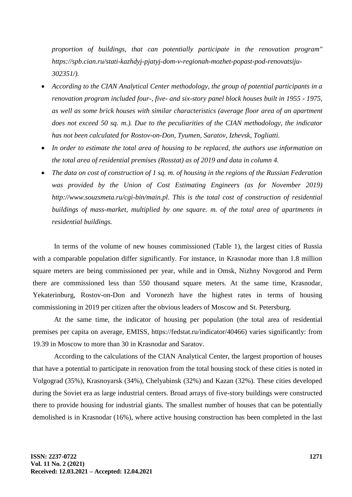*proportion of buildings, that can potentially participate in the renovation program" [https://spb.cian.ru/stati-kazhdyj-pjatyj-dom-v-regionah-mozhet-popast-pod-renovatsiju-](https://spb.cian.ru/stati-kazhdyj-pjatyj-dom-v-regionah-mozhet-popast-pod-renovatsiju-302351/)[302351/\)](https://spb.cian.ru/stati-kazhdyj-pjatyj-dom-v-regionah-mozhet-popast-pod-renovatsiju-302351/).*

- *According to the CIAN Analytical Center methodology, the group of potential participants in a renovation program included four-, five- and six-story panel block houses built in 1955 - 1975, as well as some brick houses with similar characteristics (average floor area of an apartment does not exceed 50 sq. m.). Due to the peculiarities of the CIAN methodology, the indicator has not been calculated for Rostov-on-Don, Tyumen, Saratov, Izhevsk, Togliatti.*
- *In order to estimate the total area of housing to be replaced, the authors use information on the total area of residential premises (Rosstat) as of 2019 and data in column 4.*
- *The data on cost of construction of 1 sq. m. of housing in the regions of the Russian Federation was provided by the Union of Cost Estimating Engineers (as for November 2019) [http://www.souzsmeta.ru/cgi-bin/main.pl.](http://www.souzsmeta.ru/cgi-bin/main.pl) This is the total cost of construction of residential buildings of mass-market, multiplied by one square. m. of the total area of apartments in residential buildings.*

In terms of the volume of new houses commissioned (Table 1), the largest cities of Russia with a comparable population differ significantly. For instance, in Krasnodar more than 1.8 million square meters are being commissioned per year, while and in Omsk, Nizhny Novgorod and Perm there are commissioned less than 550 thousand square meters. At the same time, Krasnodar, Yekaterinburg, Rostov-on-Don and Voronezh have the highest rates in terms of housing commissioning in 2019 per citizen after the obvious leaders of Moscow and St. Petersburg.

At the same time, the indicator of housing per population (the total area of residential premises per capita on average, EMISS, https://fedstat.ru/indicator/40466) varies significantly: from 19.39 in Moscow to more than 30 in Krasnodar and Saratov.

According to the calculations of the CIAN Analytical Center, the largest proportion of houses that have a potential to participate in renovation from the total housing stock of these cities is noted in Volgograd (35%), Krasnoyarsk (34%), Chelyabinsk (32%) and Kazan (32%). These cities developed during the Soviet era as large industrial centers. Broad arrays of five-story buildings were constructed there to provide housing for industrial giants. The smallest number of houses that can be potentially demolished is in Krasnodar (16%), where active housing construction has been completed in the last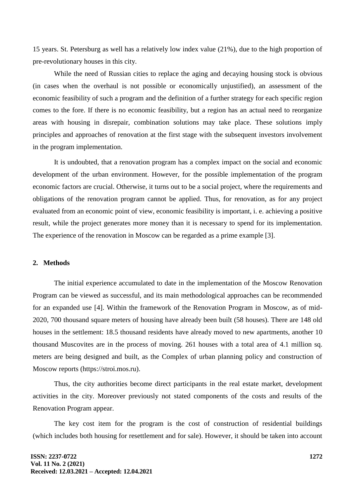15 years. St. Petersburg as well has a relatively low index value (21%), due to the high proportion of pre-revolutionary houses in this city.

While the need of Russian cities to replace the aging and decaying housing stock is obvious (in cases when the overhaul is not possible or economically unjustified), an assessment of the economic feasibility of such a program and the definition of a further strategy for each specific region comes to the fore. If there is no economic feasibility, but a region has an actual need to reorganize areas with housing in disrepair, combination solutions may take place. These solutions imply principles and approaches of renovation at the first stage with the subsequent investors involvement in the program implementation.

It is undoubted, that a renovation program has a complex impact on the social and economic development of the urban environment. However, for the possible implementation of the program economic factors are crucial. Otherwise, it turns out to be a social project, where the requirements and obligations of the renovation program cannot be applied. Thus, for renovation, as for any project evaluated from an economic point of view, economic feasibility is important, i. e. achieving a positive result, while the project generates more money than it is necessary to spend for its implementation. The experience of the renovation in Moscow can be regarded as a prime example [3].

# **2. Methods**

The initial experience accumulated to date in the implementation of the Moscow Renovation Program can be viewed as successful, and its main methodological approaches can be recommended for an expanded use [4]. Within the framework of the Renovation Program in Moscow, as of mid-2020, 700 thousand square meters of housing have already been built (58 houses). There are 148 old houses in the settlement: 18.5 thousand residents have already moved to new apartments, another 10 thousand Muscovites are in the process of moving. 261 houses with a total area of 4.1 million sq. meters are being designed and built, as the Complex of urban planning policy and construction of Moscow reports [\(https://stroi.mos.ru\).](https://stroi.mos.ru)/)

Thus, the city authorities become direct participants in the real estate market, development activities in the city. Moreover previously not stated components of the costs and results of the Renovation Program appear.

The key cost item for the program is the cost of construction of residential buildings (which includes both housing for resettlement and for sale). However, it should be taken into account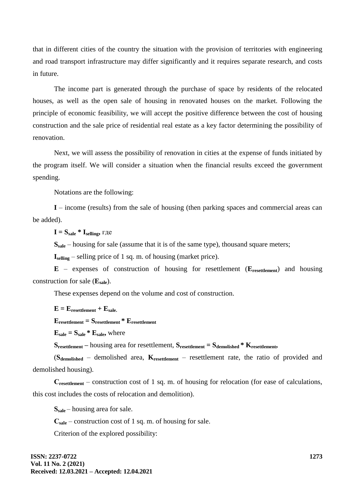that in different cities of the country the situation with the provision of territories with engineering and road transport infrastructure may differ significantly and it requires separate research, and costs in future.

The income part is generated through the purchase of space by residents of the relocated houses, as well as the open sale of housing in renovated houses on the market. Following the principle of economic feasibility, we will accept the positive difference between the cost of housing construction and the sale price of residential real estate as a key factor determining the possibility of renovation.

Next, we will assess the possibility of renovation in cities at the expense of funds initiated by the program itself. We will consider a situation when the financial results exceed the government spending.

Notations are the following:

**I** – income (results) from the sale of housing (then parking spaces and commercial areas can be added).

 $I = S_{\text{safe}} * I_{\text{selling}}$ , где

**S**<sub>sale</sub> – housing for sale (assume that it is of the same type), thousand square meters;

**Iselling** – selling price of 1 sq. m. of housing (market price).

**E** – expenses of construction of housing for resettlement (**Eresettlement**) and housing construction for sale (**Esale**).

These expenses depend on the volume and cost of construction.

 $E = E$ **resettlement** +  $E$ **sale.** 

**Eresettlement = Sresettlement \* Eresettlement**

 $E_{\text{ sale}} = S_{\text{ sale}} * E_{\text{ sale}}$ , where

**S**<sub>**resettlement** – housing area for resettlement,  $S$ <sub>**resettlement** =  $S$ *demolished*  $*$  **K**<sub>resettlement<sub>i</sub></sub></sub></sub>

(**Sdemolished** – demolished area, **Kresettlement** – resettlement rate, the ratio of provided and demolished housing).

**Сresettlement** – construction cost of 1 sq. m. of housing for relocation (for ease of calculations, this cost includes the costs of relocation and demolition).

**Ssale** – housing area for sale.

**Сsale** – construction cost of 1 sq. m. of housing for sale.

Criterion of the explored possibility: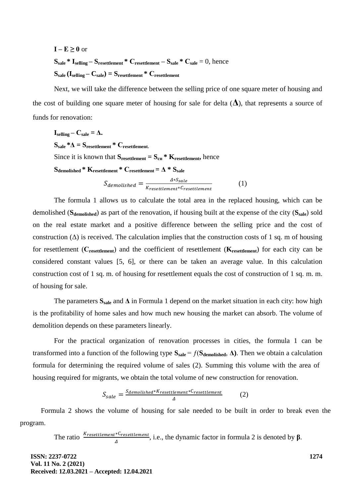$I - E \geq 0$  or **Ssale \* Iselling – Sresettlement \* Сresettlement – Ssale \* Сsale** = 0, hence  $S_{\text{ sale}}$   $(\mathbf{I}_{\text{selling}} - \mathbf{C}_{\text{ sale}}) = S_{\text{resettlement}} * C_{\text{resettlement}}$ 

Next, we will take the difference between the selling price of one square meter of housing and the cost of building one square meter of housing for sale for delta  $(\Delta)$ , that represents a source of funds for renovation:

\n
$$
I_{\text{selling}} - C_{\text{safe}} = \Delta.
$$
\n

\n\n
$$
S_{\text{safe}} * \Delta = S_{\text{resettlement}} * C_{\text{resettlement}}.
$$
\n

\n\n Since it is known that  $S_{\text{resettlement}} = S_{\text{cn}} * K_{\text{resettlement}}$ , hence\n

\n\n
$$
S_{\text{demolished}} * K_{\text{resettlement}} * C_{\text{resettlement}} = \Delta * S_{\text{ sale}}
$$
\n

\n\n
$$
S_{\text{demolished}} = \frac{\Delta * S_{\text{ sale}}}{K_{\text{resettlement}} * C_{\text{resettlement}}}
$$
\n

\n\n (1)\n

The formula 1 allows us to calculate the total area in the replaced housing, which can be demolished (**Sdemolished**) as part of the renovation, if housing built at the expense of the city (**Ssale**) sold on the real estate market and a positive difference between the selling price and the cost of construction  $(\Delta)$  is received. The calculation implies that the construction costs of 1 sq. m of housing for resettlement (**Сresettlement**) and the coefficient of resettlement (**Kresettlement**) for each city can be considered constant values [5, 6], or there can be taken an average value. In this calculation construction cost of 1 sq. m. of housing for resettlement equals the cost of construction of 1 sq. m. m. of housing for sale.

The parameters  $S_{\text{safe}}$  and  $\Delta$  in Formula 1 depend on the market situation in each city: how high is the profitability of home sales and how much new housing the market can absorb. The volume of demolition depends on these parameters linearly.

For the practical organization of renovation processes in cities, the formula 1 can be transformed into a function of the following type  $S_{\text{safe}} = f(S_{\text{demolished}}, Δ)$ . Then we obtain a calculation formula for determining the required volume of sales (2). Summing this volume with the area of housing required for migrants, we obtain the total volume of new construction for renovation.

$$
S_{\text{safe}} = \frac{S_{\text{demolished}*K_{\text{resettlement}*C_{\text{resettlement}}}}{\Delta} \tag{2}
$$

Formula 2 shows the volume of housing for sale needed to be built in order to break even the program.

The ratio  $\frac{A_{resettlement} \times V_{resettlement}}{\Delta}$ , i.e., the dynamic factor in formula 2 is denoted by  $\beta$ .

**ISSN: 2237-0722 Vol. 11 No. 2 (2021) Received: 12.03.2021 – Accepted: 12.04.2021** **1274**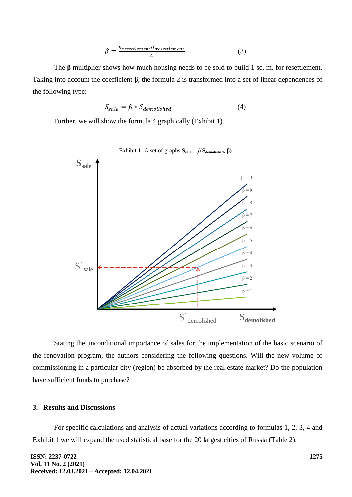$$
\beta = \frac{K_{resettlement} * C_{resettlement}}{\Delta}
$$
 (3)

The **β** multiplier shows how much housing needs to be sold to build 1 sq. m. for resettlement. Taking into account the coefficient **β**, the formula 2 is transformed into a set of linear dependences of the following type:

$$
S_{\text{safe}} = \beta * S_{\text{demolished}} \tag{4}
$$

Further, we will show the formula 4 graphically (Exhibit 1).



Stating the unconditional importance of sales for the implementation of the basic scenario of the renovation program, the authors considering the following questions. Will the new volume of commissioning in a particular city (region) be absorbed by the real estate market? Do the population have sufficient funds to purchase?

### **3. Results and Discussions**

For specific calculations and analysis of actual variations according to formulas 1, 2, 3, 4 and Exhibit 1 we will expand the used statistical base for the 20 largest cities of Russia (Table 2).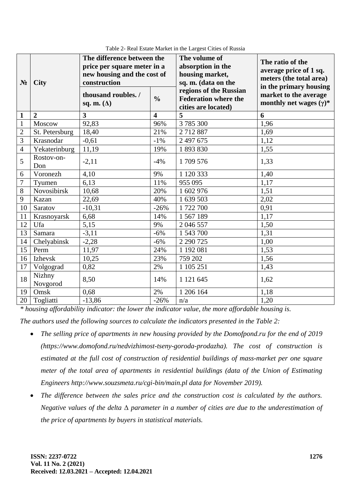| $N_2$           | <b>City</b>        | The difference between the<br>price per square meter in a<br>new housing and the cost of<br>construction |                         | The volume of<br>absorption in the<br>housing market,<br>sq. m. (data on the | The ratio of the<br>average price of 1 sq.<br>meters (the total area)<br>in the primary housing |
|-----------------|--------------------|----------------------------------------------------------------------------------------------------------|-------------------------|------------------------------------------------------------------------------|-------------------------------------------------------------------------------------------------|
|                 |                    | thousand roubles. /<br>sq. m. $(\Delta)$                                                                 | $\frac{0}{0}$           | regions of the Russian<br><b>Federation where the</b><br>cities are located) | market to the average<br>monthly net wages $(\gamma)^*$                                         |
| $\mathbf{1}$    | $\overline{2}$     | $\overline{3}$                                                                                           | $\overline{\mathbf{4}}$ | 5                                                                            | 6                                                                                               |
| $\mathbf{1}$    | Moscow             | 92,83                                                                                                    | 96%                     | 3785300                                                                      | 1,96                                                                                            |
| $\overline{2}$  | St. Petersburg     | 18,40                                                                                                    | 21%                     | 2712887                                                                      | 1,69                                                                                            |
| 3               | Krasnodar          | $-0,61$                                                                                                  | $-1\%$                  | 2 497 675                                                                    | 1,12                                                                                            |
| $\overline{4}$  | Yekaterinburg      | 11,19                                                                                                    | 19%                     | 1893830                                                                      | 1,55                                                                                            |
| 5               | Rostov-on-<br>Don  | $-2,11$                                                                                                  | $-4%$                   | 1709 576                                                                     | 1,33                                                                                            |
| 6               | Voronezh           | 4,10                                                                                                     | 9%                      | 1 120 333                                                                    | 1,40                                                                                            |
| 7               | Tyumen             | 6,13                                                                                                     | 11%                     | 955 095                                                                      | 1,17                                                                                            |
| 8               | Novosibirsk        | 10,68                                                                                                    | 20%                     | 1 602 976                                                                    | 1,51                                                                                            |
| 9               | Kazan              | 22,69                                                                                                    | 40%                     | 1 639 503                                                                    | 2,02                                                                                            |
| 10              | Saratov            | $-10,31$                                                                                                 | $-26%$                  | 1722700                                                                      | 0,91                                                                                            |
| 11              | Krasnoyarsk        | 6,68                                                                                                     | 14%                     | 1567189                                                                      | 1,17                                                                                            |
| 12              | Ufa                | 5,15                                                                                                     | 9%                      | 2 046 557                                                                    | 1,50                                                                                            |
| $\overline{13}$ | Samara             | $-3,11$                                                                                                  | $-6%$                   | 1 543 700                                                                    | 1,31                                                                                            |
| 14              | Chelyabinsk        | $-2,28$                                                                                                  | $-6%$                   | 2 290 725                                                                    | 1,00                                                                                            |
| 15              | Perm               | 11,97                                                                                                    | 24%                     | 1 192 081                                                                    | 1,53                                                                                            |
| 16              | Izhevsk            | 10,25                                                                                                    | 23%                     | 759 202                                                                      | 1,56                                                                                            |
| 17              | Volgograd          | 0,82                                                                                                     | 2%                      | 1 105 251                                                                    | 1,43                                                                                            |
| 18              | Nizhny<br>Novgorod | 8,50                                                                                                     | 14%                     | 1 121 645                                                                    | 1,62                                                                                            |
| 19              | Omsk               | 0,68                                                                                                     | 2%                      | 1 206 164                                                                    | 1,18                                                                                            |
| 20              | Togliatti          | $-13,86$                                                                                                 | $-26%$                  | n/a                                                                          | 1,20                                                                                            |

Table 2- Real Estate Market in the Largest Cities of Russia

*\* housing affordability indicator: the lower the indicator value, the more affordable housing is.*

*The authors used the following sources to calculate the indicators presented in the Table 2:*

- *The selling price of apartments in new housing provided by the Domofpond.ru for the end of 2019 [\(https://www.domofond.ru/nedvizhimost-tseny-goroda-prodazha\)](https://www.domofond.ru/nedvizhimost-tseny-goroda-prodazha). The cost of construction is estimated at the full cost of construction of residential buildings of mass-market per one square meter of the total area of apartments in residential buildings (data of the Union of Estimating Engineers [http://www.souzsmeta.ru/cgi-bin/main.pl data for November 2019\)](http://www.souzsmeta.ru/cgi-bin/main.pl%20data%20for%20November%202019).*
- *The difference between the sales price and the construction cost is calculated by the authors. Negative values of the delta* Δ *parameter in a number of cities are due to the underestimation of the price of apartments by buyers in statistical materials.*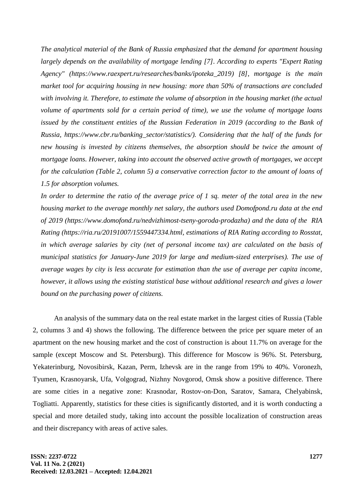*The analytical material of the Bank of Russia emphasized that the demand for apartment housing largely depends on the availability of mortgage lending [7]. According to experts "Expert Rating Agency" [\(https://www.raexpert.ru/researches/banks/ipoteka\\_2019\)](https://www.raexpert.ru/researches/banks/ipoteka_2019) [8], mortgage is the main market tool for acquiring housing in new housing: more than 50% of transactions are concluded with involving it. Therefore, to estimate the volume of absorption in the housing market (the actual volume of apartments sold for a certain period of time), we use the volume of mortgage loans issued by the constituent entities of the Russian Federation in 2019 (according to the Bank of Russia, https://www.cbr.ru/banking\_sector/statistics/). Considering that the half of the funds for new housing is invested by citizens themselves, the absorption should be twice the amount of mortgage loans. However, taking into account the observed active growth of mortgages, we accept for the calculation (Table 2, column 5) a conservative correction factor to the amount of loans of 1.5 for absorption volumes.*

*In order to determine the ratio of the average price of 1 sq. meter of the total area in the new housing market to the average monthly net salary, the authors used Domofpond.ru data at the end of 2019 [\(https://www.domofond.ru/nedvizhimost-tseny-goroda-prodazha\)](https://www.domofond.ru/nedvizhimost-tseny-goroda-prodazha) and the data of the RIA Rating [\(https://ria.ru/20191007/1559447334.html,](https://ria.ru/20191007/1559447334.html) estimations of RIA Rating according to Rosstat, in which average salaries by city (net of personal income tax) are calculated on the basis of municipal statistics for January-June 2019 for large and medium-sized enterprises). The use of average wages by city is less accurate for estimation than the use of average per capita income, however, it allows using the existing statistical base without additional research and gives a lower bound on the purchasing power of citizens.*

An analysis of the summary data on the real estate market in the largest cities of Russia (Table 2, columns 3 and 4) shows the following. The difference between the price per square meter of an apartment on the new housing market and the cost of construction is about 11.7% on average for the sample (except Moscow and St. Petersburg). This difference for Moscow is 96%. St. Petersburg, Yekaterinburg, Novosibirsk, Kazan, Perm, Izhevsk are in the range from 19% to 40%. Voronezh, Tyumen, Krasnoyarsk, Ufa, Volgograd, Nizhny Novgorod, Omsk show a positive difference. There are some cities in a negative zone: Krasnodar, Rostov-on-Don, Saratov, Samara, Chelyabinsk, Togliatti. Apparently, statistics for these cities is significantly distorted, and it is worth conducting a special and more detailed study, taking into account the possible localization of construction areas and their discrepancy with areas of active sales.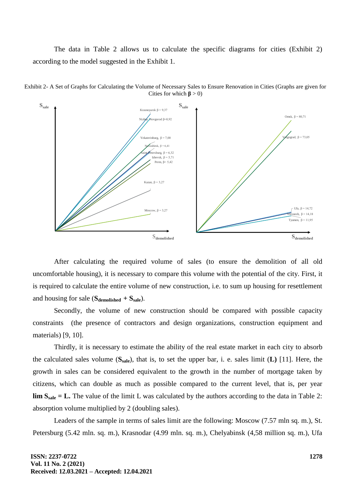The data in Table 2 allows us to calculate the specific diagrams for cities (Exhibit 2) according to the model suggested in the Exhibit 1.



Exhibit 2- A Set of Graphs for Calculating the Volume of Necessary Sales to Ensure Renovation in Cities (Graphs are given for Cities for which  $\beta$  > 0)

After calculating the required volume of sales (to ensure the demolition of all old uncomfortable housing), it is necessary to compare this volume with the potential of the city. First, it is required to calculate the entire volume of new construction, i.e. to sum up housing for resettlement and housing for sale (**Sdemolished + Ssale**).

Secondly, the volume of new construction should be compared with possible capacity constraints (the presence of contractors and design organizations, construction equipment and materials) [9, 10].

Thirdly, it is necessary to estimate the ability of the real estate market in each city to absorb the calculated sales volume (**Ssale**), that is, to set the upper bar, i. e. sales limit (**L)** [11]. Here, the growth in sales can be considered equivalent to the growth in the number of mortgage taken by citizens, which can double as much as possible compared to the current level, that is, per year **lim Ssale = L.** The value of the limit L was calculated by the authors according to the data in Table 2: absorption volume multiplied by 2 (doubling sales).

Leaders of the sample in terms of sales limit are the following: Moscow (7.57 mln sq. m.), St. Petersburg (5.42 mln. sq. m.), Krasnodar (4.99 mln. sq. m.), Chelyabinsk (4,58 million sq. m.), Ufa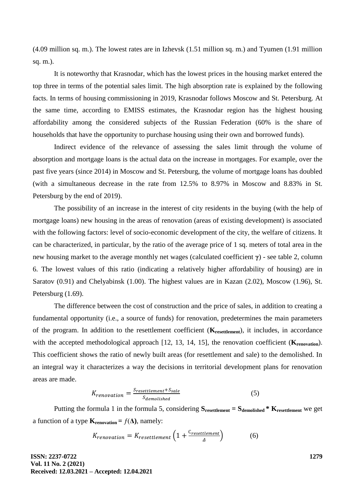(4.09 million sq. m.). The lowest rates are in Izhevsk (1.51 million sq. m.) and Tyumen (1.91 million sq. m.).

It is noteworthy that Krasnodar, which has the lowest prices in the housing market entered the top three in terms of the potential sales limit. The high absorption rate is explained by the following facts. In terms of housing commissioning in 2019, Krasnodar follows Moscow and St. Petersburg. At the same time, according to EMISS estimates, the Krasnodar region has the highest housing affordability among the considered subjects of the Russian Federation (60% is the share of households that have the opportunity to purchase housing using their own and borrowed funds).

Indirect evidence of the relevance of assessing the sales limit through the volume of absorption and mortgage loans is the actual data on the increase in mortgages. For example, over the past five years (since 2014) in Moscow and St. Petersburg, the volume of mortgage loans has doubled (with a simultaneous decrease in the rate from 12.5% to 8.97% in Moscow and 8.83% in St. Petersburg by the end of 2019).

The possibility of an increase in the interest of city residents in the buying (with the help of mortgage loans) new housing in the areas of renovation (areas of existing development) is associated with the following factors: level of socio-economic development of the city, the welfare of citizens. It can be characterized, in particular, by the ratio of the average price of 1 sq. meters of total area in the new housing market to the average monthly net wages (calculated coefficient **γ**) - see table 2, column 6. The lowest values of this ratio (indicating a relatively higher affordability of housing) are in Saratov (0.91) and Chelyabinsk (1.00). The highest values are in Kazan (2.02), Moscow (1.96), St. Petersburg (1.69).

The difference between the cost of construction and the price of sales, in addition to creating a fundamental opportunity (i.e., a source of funds) for renovation, predetermines the main parameters of the program. In addition to the resettlement coefficient (**Kresettlement**), it includes, in accordance with the accepted methodological approach [12, 13, 14, 15], the renovation coefficient (**K**<sub>renovation</sub>). This coefficient shows the ratio of newly built areas (for resettlement and sale) to the demolished. In an integral way it characterizes a way the decisions in territorial development plans for renovation areas are made.

$$
K_{renovation} = \frac{S_{resettlement} + S_{ sale}}{S_{demolished}}
$$
 (5)

Putting the formula 1 in the formula 5, considering **Sresettlement = Sdemolished \* Kresettlement** we get a function of a type  $\mathbf{K}_{\text{renovation}} = f(\Delta)$ , namely:

$$
K_{renovation} = K_{resettlement} \left( 1 + \frac{C_{resettlement}}{\Delta} \right) \tag{6}
$$

**ISSN: 2237-0722 Vol. 11 No. 2 (2021) Received: 12.03.2021 – Accepted: 12.04.2021**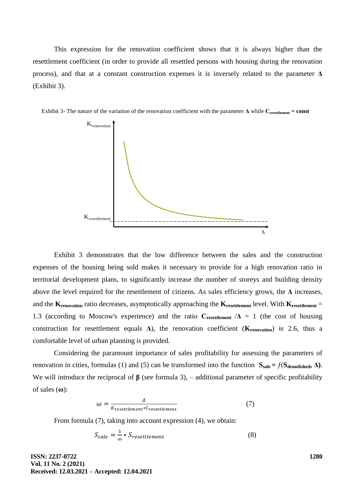This expression for the renovation coefficient shows that it is always higher than the resettlement coefficient (in order to provide all resettled persons with housing during the renovation process), and that at a constant construction expenses it is inversely related to the parameter **Δ** (Exhibit 3).





Exhibit 3 demonstrates that the low difference between the sales and the construction expenses of the housing being sold makes it necessary to provide for a high renovation ratio in territorial development plans, to significantly increase the number of storeys and building density above the level required for the resettlement of citizens. As sales efficiency grows, the **Δ** increases, and the **Krenovation** ratio decreases, asymptotically approaching the **Kresettlement** level. With **Kresettlement** = 1.3 (according to Moscow's experience) and the ratio  $C_{\text{resettlement}}/\Delta = 1$  (the cost of housing construction for resettlement equals **Δ**), the renovation coefficient (**Krenovation**) is 2.6, thus a comfortable level of urban planning is provided.

Considering the paramount importance of sales profitability for assessing the parameters of renovation in cities, formulas (1) and (5) can be transformed into the function  $S_{\text{ sale}} = f(S_{\text{demolished}}, Δ)$ . We will introduce the reciprocal of  $\beta$  (see formula 3), – additional parameter of specific profitability of sales (**ω**):

$$
\omega = \frac{\Delta}{K_{resettlement} * C_{resettlement}}
$$
(7)

From formula (7), taking into account expression (4), we obtain:

$$
S_{\text{safe}} = \frac{1}{\omega} * S_{\text{resettlement}} \tag{8}
$$

**ISSN: 2237-0722 Vol. 11 No. 2 (2021) Received: 12.03.2021 – Accepted: 12.04.2021** **1280**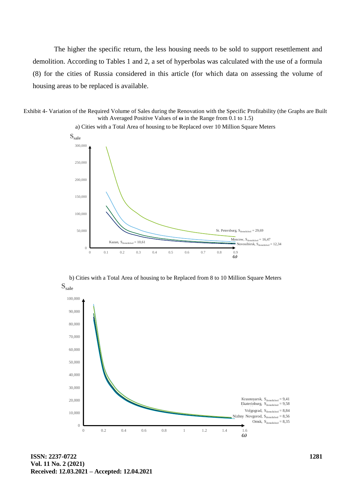The higher the specific return, the less housing needs to be sold to support resettlement and demolition. According to Tables 1 and 2, a set of hyperbolas was calculated with the use of a formula (8) for the cities of Russia considered in this article (for which data on assessing the volume of housing areas to be replaced is available.

Exhibit 4- Variation of the Required Volume of Sales during the Renovation with the Specific Profitability (the Graphs are Built with Averaged Positive Values of **ω** in the Range from 0.1 to 1.5)



a) Cities with a Total Area of housing to be Replaced over 10 Million Square Meters

b) Cities with a Total Area of housing to be Replaced from 8 to 10 Million Square Meters



**ISSN: 2237-0722 Vol. 11 No. 2 (2021) Received: 12.03.2021 – Accepted: 12.04.2021**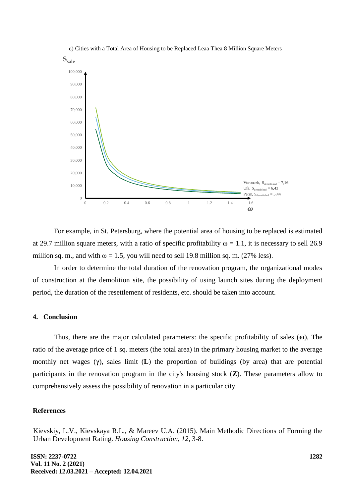

с) Cities with a Total Area of Housing to be Replaced Leaa Thea 8 Million Square Meters

For example, in St. Petersburg, where the potential area of housing to be replaced is estimated at 29.7 million square meters, with a ratio of specific profitability  $\omega = 1.1$ , it is necessary to sell 26.9 million sq. m., and with  $\omega = 1.5$ , you will need to sell 19.8 million sq. m. (27% less).

In order to determine the total duration of the renovation program, the organizational modes of construction at the demolition site, the possibility of using launch sites during the deployment period, the duration of the resettlement of residents, etc. should be taken into account.

#### **4. Conclusion**

Thus, there are the major calculated parameters: the specific profitability of sales (**ω**), The ratio of the average price of 1 sq. meters (the total area) in the primary housing market to the average monthly net wages (**γ**), sales limit (**L**) the proportion of buildings (by area) that are potential participants in the renovation program in the city's housing stock (**Z**). These parameters allow to comprehensively assess the possibility of renovation in a particular city.

### **References**

Kievskiy, L.V., Kievskaya R.L., & Mareev U.А. (2015). Main Methodic Directions of Forming the Urban Development Rating. *Housing Construction, 12,* 3-8.

**ISSN: 2237-0722 Vol. 11 No. 2 (2021) Received: 12.03.2021 – Accepted: 12.04.2021**